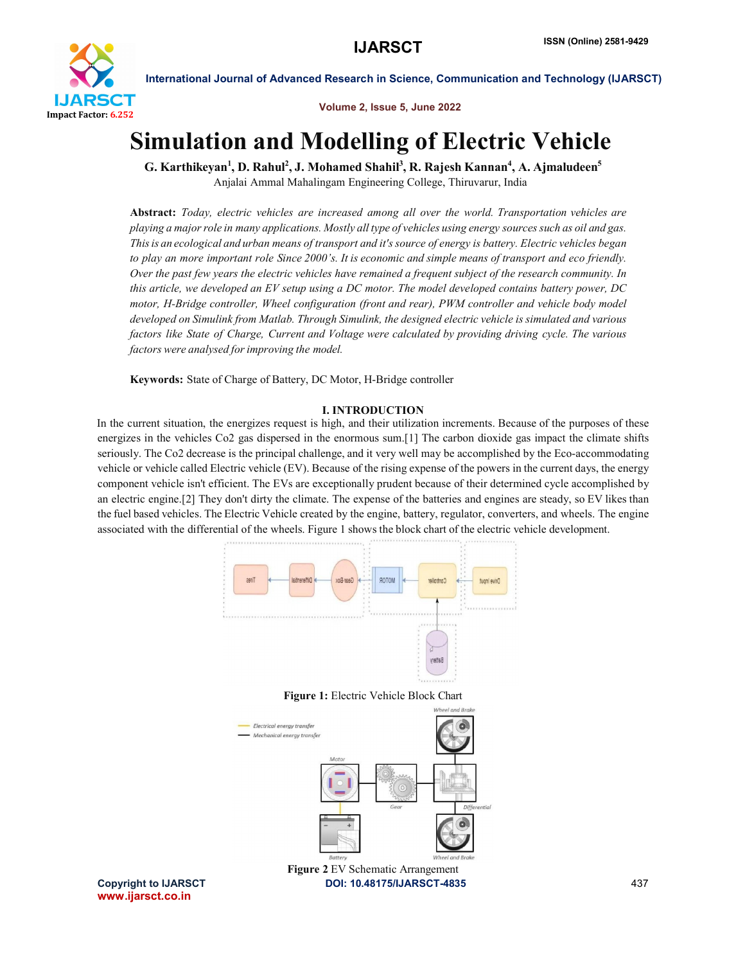

Volume 2, Issue 5, June 2022

# Simulation and Modelling of Electric Vehicle

G. Karthikeyan<sup>1</sup>, D. Rahul<sup>2</sup>, J. Mohamed Shahil<sup>3</sup>, R. Rajesh Kannan<sup>4</sup>, A. Ajmaludeen<sup>5</sup> Anjalai Ammal Mahalingam Engineering College, Thiruvarur, India

Abstract: *Today, electric vehicles are increased among all over the world. Transportation vehicles are playing a majorrole in many applications. Mostly all type of vehicles using energy sourcessuch as oil and gas. Thisis an ecological and urban means of transport and it's source of energy is battery. Electric vehicles began to play an more important role Since 2000's. It is economic and simple means of transport and eco friendly. Over the past few years the electric vehicles have remained a frequent subject of the research community. In this article, we developed an EV setup using a DC motor. The model developed contains battery power, DC motor, H-Bridge controller, Wheel configuration (front and rear), PWM controller and vehicle body model developed on Simulink from Matlab. Through Simulink, the designed electric vehicle is simulated and various factors like State of Charge, Current and Voltage were calculated by providing driving cycle. The various factors were analysed forimproving the model.*

Keywords: State of Charge of Battery, DC Motor, H-Bridge controller

# I. INTRODUCTION

In the current situation, the energizes request is high, and their utilization increments. Because of the purposes of these energizes in the vehicles Co2 gas dispersed in the enormous sum.[1] The carbon dioxide gas impact the climate shifts seriously. The Co2 decrease is the principal challenge, and it very well may be accomplished by the Eco-accommodating vehicle or vehicle called Electric vehicle (EV). Because of the rising expense of the powers in the current days, the energy component vehicle isn't efficient. The EVs are exceptionally prudent because of their determined cycle accomplished by an electric engine.[2] They don't dirty the climate. The expense of the batteries and engines are steady, so EV likes than the fuel based vehicles. The Electric Vehicle created by the engine, battery, regulator, converters, and wheels. The engine associated with the differential of the wheels. Figure 1 shows the block chart of the electric vehicle development.



Figure 1: Electric Vehicle Block Chart



www.ijarsct.co.in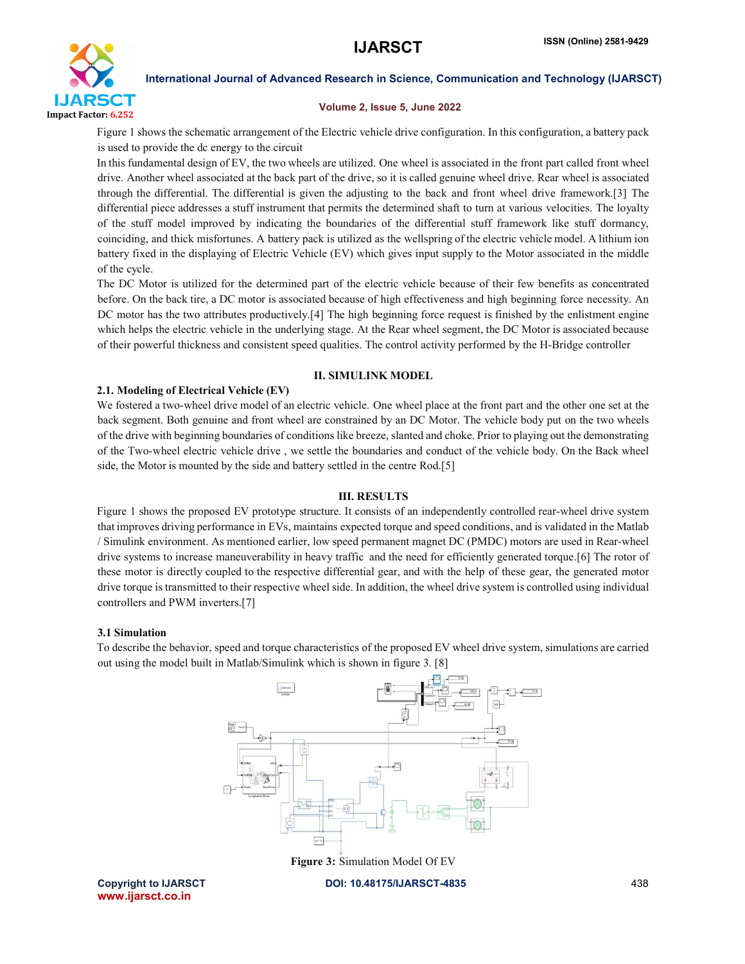

### Volume 2, Issue 5, June 2022

Figure 1 shows the schematic arrangement of the Electric vehicle drive configuration. In this configuration, a battery pack is used to provide the dc energy to the circuit

In this fundamental design of EV, the two wheels are utilized. One wheel is associated in the front part called front wheel drive. Another wheel associated at the back part of the drive, so it is called genuine wheel drive. Rear wheel is associated through the differential. The differential is given the adjusting to the back and front wheel drive framework.[3] The differential piece addresses a stuff instrument that permits the determined shaft to turn at various velocities. The loyalty of the stuff model improved by indicating the boundaries of the differential stuff framework like stuff dormancy, coinciding, and thick misfortunes. A battery pack is utilized as the wellspring of the electric vehicle model. A lithium ion battery fixed in the displaying of Electric Vehicle (EV) which gives input supply to the Motor associated in the middle of the cycle.

The DC Motor is utilized for the determined part of the electric vehicle because of their few benefits as concentrated before. On the back tire, a DC motor is associated because of high effectiveness and high beginning force necessity. An DC motor has the two attributes productively.[4] The high beginning force request is finished by the enlistment engine which helps the electric vehicle in the underlying stage. At the Rear wheel segment, the DC Motor is associated because of their powerful thickness and consistent speed qualities. The control activity performed by the H-Bridge controller

# II. SIMULINK MODEL

# 2.1. Modeling of Electrical Vehicle (EV)

We fostered a two-wheel drive model of an electric vehicle. One wheel place at the front part and the other one set at the back segment. Both genuine and front wheel are constrained by an DC Motor. The vehicle body put on the two wheels of the drive with beginning boundaries of conditions like breeze, slanted and choke. Prior to playing out the demonstrating of the Two-wheel electric vehicle drive , we settle the boundaries and conduct of the vehicle body. On the Back wheel side, the Motor is mounted by the side and battery settled in the centre Rod.[5]

# III. RESULTS

Figure 1 shows the proposed EV prototype structure. It consists of an independently controlled rear-wheel drive system that improves driving performance in EVs, maintains expected torque and speed conditions, and is validated in the Matlab / Simulink environment. As mentioned earlier, low speed permanent magnet DC (PMDC) motors are used in Rear-wheel drive systems to increase maneuverability in heavy traffic and the need for efficiently generated torque.[6] The rotor of these motor is directly coupled to the respective differential gear, and with the help of these gear, the generated motor drive torque is transmitted to their respective wheel side. In addition, the wheel drive system is controlled using individual controllers and PWM inverters.[7]

# 3.1 Simulation

To describe the behavior, speed and torque characteristics of the proposed EV wheel drive system, simulations are carried out using the model built in Matlab/Simulink which is shown in figure 3. [8]



Figure 3: Simulation Model Of EV

www.ijarsct.co.in

Copyright to IJARSCT DOI: 10.48175/IJARSCT-4835 438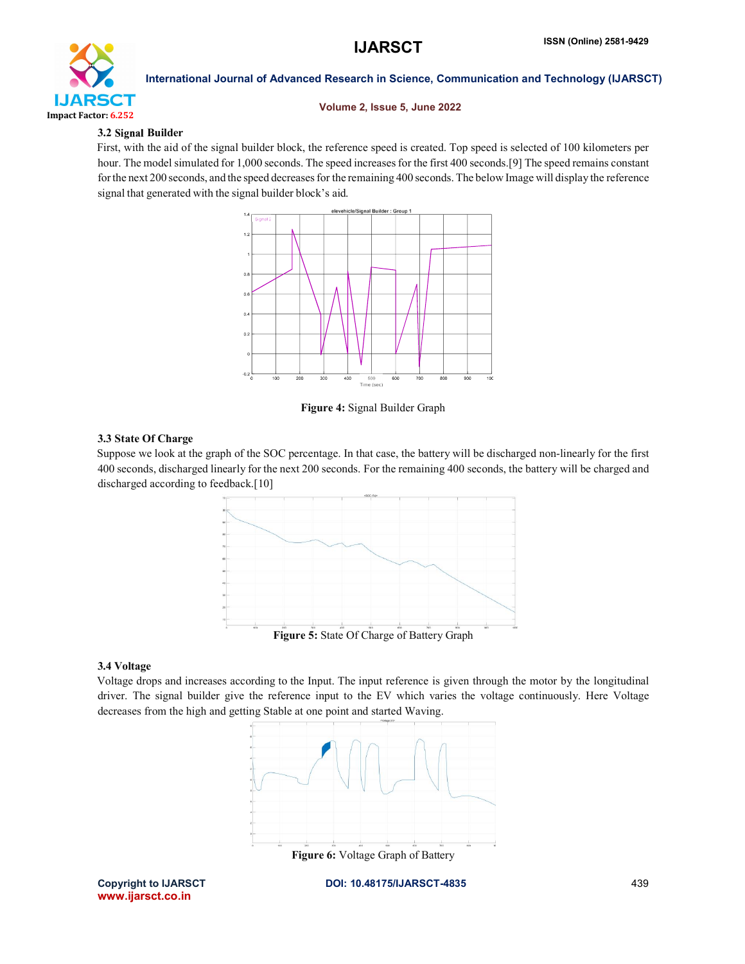

# Volume 2, Issue 5, June 2022

# 3.2 Signal Builder

First, with the aid of the signal builder block, the reference speed is created. Top speed is selected of 100 kilometers per hour. The model simulated for 1,000 seconds. The speed increases for the first 400 seconds.[9] The speed remains constant for the next 200 seconds, and the speed decreases for the remaining 400 seconds. The below Image will display the reference signal that generated with the signal builder block's aid.



Figure 4: Signal Builder Graph

# 3.3 State Of Charge

Suppose we look at the graph of the SOC percentage. In that case, the battery will be discharged non-linearly for the first 400 seconds, discharged linearly for the next 200 seconds. For the remaining 400 seconds, the battery will be charged and discharged according to feedback.<sup>[10]</sup>



# 3.4 Voltage

Voltage drops and increases according to the Input. The input reference is given through the motor by the longitudinal driver. The signal builder give the reference input to the EV which varies the voltage continuously. Here Voltage decreases from the high and getting Stable at one point and started Waving.



www.ijarsct.co.in

Copyright to IJARSCT DOI: 10.48175/IJARSCT-4835 439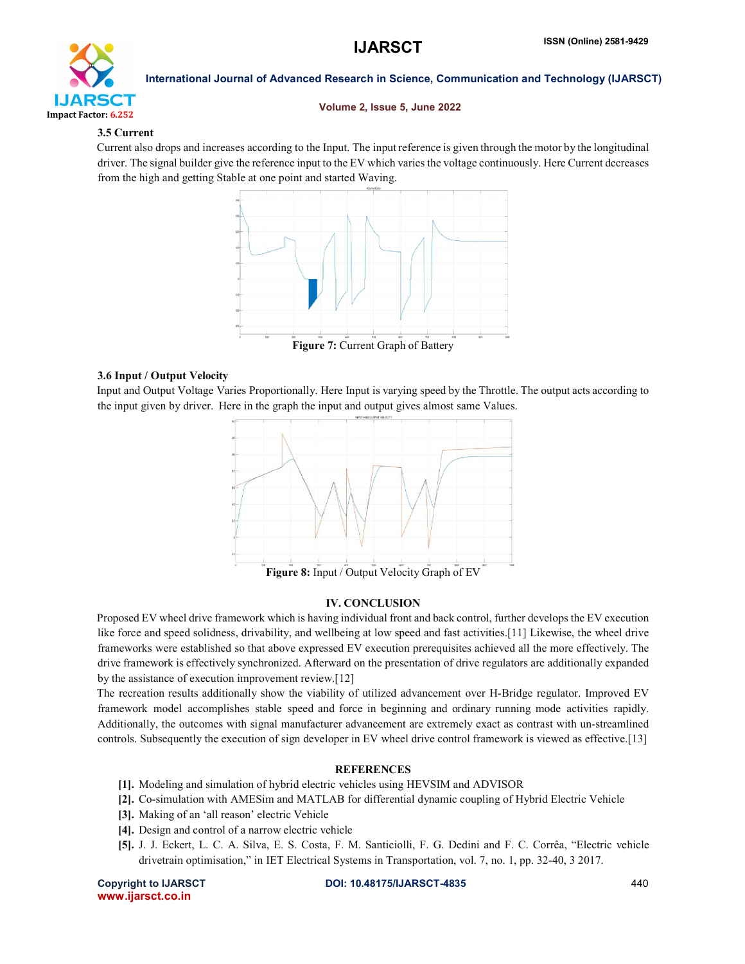

### Volume 2, Issue 5, June 2022

# 3.5 Current

Current also drops and increases according to the Input. The input reference is given through the motor by the longitudinal driver. The signal builder give the reference input to the EV which varies the voltage continuously. Here Current decreases from the high and getting Stable at one point and started Waving.



# 3.6 Input / Output Velocity

Input and Output Voltage Varies Proportionally. Here Input is varying speed by the Throttle. The output acts according to the input given by driver. Here in the graph the input and output gives almost same Values.



Figure 8: Input / Output Velocity Graph of EV

# IV. CONCLUSION

Proposed EV wheel drive framework which is having individual front and back control, further develops the EV execution like force and speed solidness, drivability, and wellbeing at low speed and fast activities.[11] Likewise, the wheel drive frameworks were established so that above expressed EV execution prerequisites achieved all the more effectively. The drive framework is effectively synchronized. Afterward on the presentation of drive regulators are additionally expanded by the assistance of execution improvement review.[12]

The recreation results additionally show the viability of utilized advancement over H-Bridge regulator. Improved EV framework model accomplishes stable speed and force in beginning and ordinary running mode activities rapidly. Additionally, the outcomes with signal manufacturer advancement are extremely exact as contrast with un-streamlined controls. Subsequently the execution of sign developer in EV wheel drive control framework is viewed as effective.[13]

# **REFERENCES**

- [1]. Modeling and simulation of hybrid electric vehicles using HEVSIM and ADVISOR
- [2]. Co-simulation with AMESim and MATLAB for differential dynamic coupling of Hybrid Electric Vehicle
- [3]. Making of an 'all reason' electric Vehicle
- [4]. Design and control of a narrow electric vehicle
- [5]. J. J. Eckert, L. C. A. Silva, E. S. Costa, F. M. Santiciolli, F. G. Dedini and F. C. Corrêa, "Electric vehicle drivetrain optimisation," in IET Electrical Systems in Transportation, vol. 7, no. 1, pp. 32-40, 3 2017.

www.ijarsct.co.in

Copyright to IJARSCT DOI: 10.48175/IJARSCT-4835 440